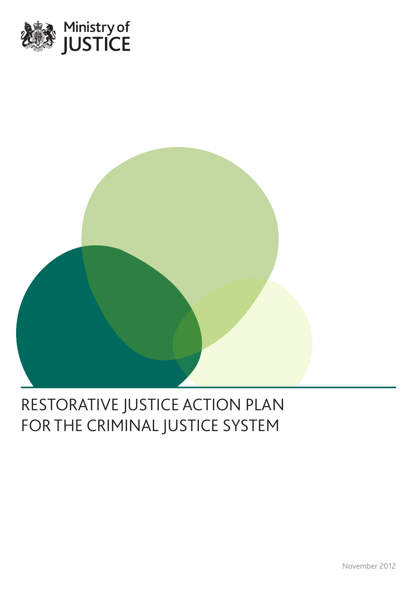



# RESTORATIVE JUSTICE ACTION PLAN FOR THE CRIMINAL JUSTICE SYSTEM

November 2012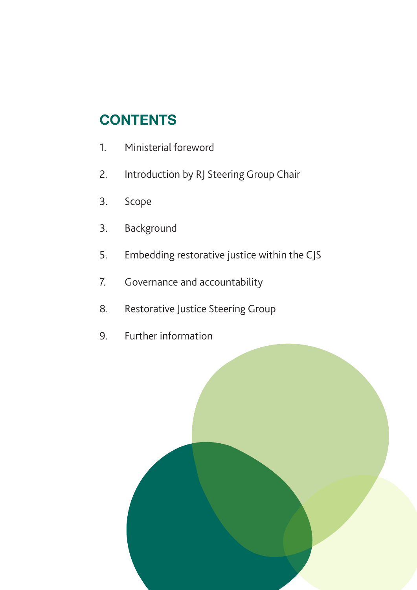# **CONTENTS**

- 1. Ministerial foreword
- 2. Introduction by RJ Steering Group Chair
- 3. Scope
- 3. Background
- 5. Embedding restorative justice within the CJS
- 7. Governance and accountability
- 8. Restorative Justice Steering Group
- 9. Further information

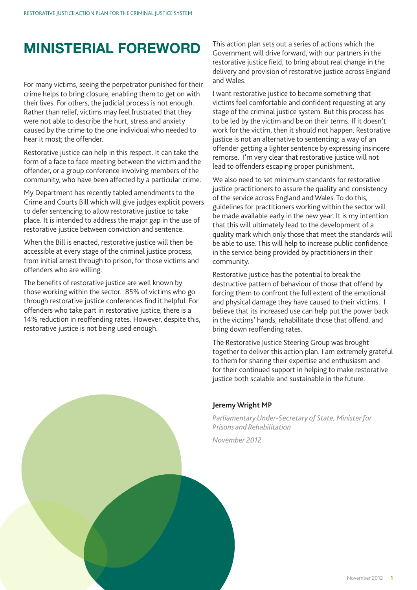# **MINISTERIAL FOREWORD**

For many victims, seeing the perpetrator punished for their crime helps to bring closure, enabling them to get on with their lives. For others, the judicial process is not enough. Rather than relief, victims may feel frustrated that they were not able to describe the hurt, stress and anxiety caused by the crime to the one individual who needed to hear it most; the offender.

Restorative justice can help in this respect. It can take the form of a face to face meeting between the victim and the offender, or a group conference involving members of the community, who have been affected by a particular crime.

My Department has recently tabled amendments to the Crime and Courts Bill which will give judges explicit powers to defer sentencing to allow restorative justice to take place. It is intended to address the major gap in the use of restorative justice between conviction and sentence.

When the Bill is enacted, restorative justice will then be accessible at every stage of the criminal justice process, from initial arrest through to prison, for those victims and offenders who are willing.

The benefits of restorative justice are well known by those working within the sector. 85% of victims who go through restorative justice conferences find it helpful. For offenders who take part in restorative justice, there is a 14% reduction in reoffending rates. However, despite this, restorative justice is not being used enough.

This action plan sets out a series of actions which the Government will drive forward, with our partners in the restorative justice field, to bring about real change in the delivery and provision of restorative justice across England and Wales.

I want restorative justice to become something that victims feel comfortable and confident requesting at any stage of the criminal justice system. But this process has to be led by the victim and be on their terms. If it doesn't work for the victim, then it should not happen. Restorative justice is not an alternative to sentencing; a way of an offender getting a lighter sentence by expressing insincere remorse. I'm very clear that restorative justice will not lead to offenders escaping proper punishment.

We also need to set minimum standards for restorative justice practitioners to assure the quality and consistency of the service across England and Wales. To do this, guidelines for practitioners working within the sector will be made available early in the new year. It is my intention that this will ultimately lead to the development of a quality mark which only those that meet the standards will be able to use. This will help to increase public confidence in the service being provided by practitioners in their community.

Restorative justice has the potential to break the destructive pattern of behaviour of those that offend by forcing them to confront the full extent of the emotional and physical damage they have caused to their victims. I believe that its increased use can help put the power back in the victims' hands, rehabilitate those that offend, and bring down reoffending rates.

The Restorative Justice Steering Group was brought together to deliver this action plan. I am extremely grateful to them for sharing their expertise and enthusiasm and for their continued support in helping to make restorative justice both scalable and sustainable in the future.

#### **Jeremy Wright MP**

*Parliamentary Under-Secretary of State, Minister for Prisons and Rehabilitation*

*November 2012*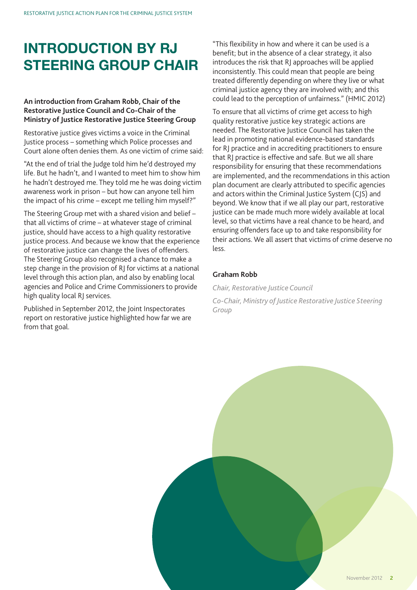# **INTRODUCTION BY RJ STEERING GROUP CHAIR**

#### **An introduction from Graham Robb, Chair of the Restorative Justice Council and Co-Chair of the Ministry of Justice Restorative Justice Steering Group**

Restorative justice gives victims a voice in the Criminal Justice process – something which Police processes and Court alone often denies them. As one victim of crime said:

"At the end of trial the Judge told him he'd destroyed my life. But he hadn't, and I wanted to meet him to show him he hadn't destroyed me. They told me he was doing victim awareness work in prison – but how can anyone tell him the impact of his crime – except me telling him myself?"

The Steering Group met with a shared vision and belief – that all victims of crime – at whatever stage of criminal justice, should have access to a high quality restorative justice process. And because we know that the experience of restorative justice can change the lives of offenders. The Steering Group also recognised a chance to make a step change in the provision of RJ for victims at a national level through this action plan, and also by enabling local agencies and Police and Crime Commissioners to provide high quality local RJ services.

Published in September 2012, the Joint Inspectorates report on restorative justice highlighted how far we are from that goal.

"This flexibility in how and where it can be used is a benefit; but in the absence of a clear strategy, it also introduces the risk that RJ approaches will be applied inconsistently. This could mean that people are being treated differently depending on where they live or what criminal justice agency they are involved with; and this could lead to the perception of unfairness." (HMIC 2012)

To ensure that all victims of crime get access to high quality restorative justice key strategic actions are needed. The Restorative Justice Council has taken the lead in promoting national evidence-based standards for RJ practice and in accrediting practitioners to ensure that RJ practice is effective and safe. But we all share responsibility for ensuring that these recommendations are implemented, and the recommendations in this action plan document are clearly attributed to specific agencies and actors within the Criminal Justice System (CJS) and beyond. We know that if we all play our part, restorative justice can be made much more widely available at local level, so that victims have a real chance to be heard, and ensuring offenders face up to and take responsibility for their actions. We all assert that victims of crime deserve no less.

#### **Graham Robb**

*Chair, Restorative Justice Council*

*Co-Chair, Ministry of Justice Restorative Justice Steering Group*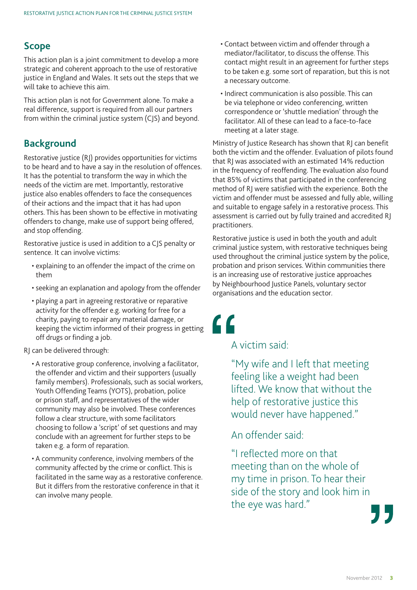#### **Scope**

This action plan is a joint commitment to develop a more strategic and coherent approach to the use of restorative justice in England and Wales. It sets out the steps that we will take to achieve this aim.

This action plan is not for Government alone. To make a real difference, support is required from all our partners from within the criminal justice system (CJS) and beyond.

#### **Background**

Restorative justice (RJ) provides opportunities for victims to be heard and to have a say in the resolution of offences. It has the potential to transform the way in which the needs of the victim are met. Importantly, restorative justice also enables offenders to face the consequences of their actions and the impact that it has had upon others. This has been shown to be effective in motivating offenders to change, make use of support being offered, and stop offending.

Restorative justice is used in addition to a CJS penalty or sentence. It can involve victims:

- explaining to an offender the impact of the crime on them
- seeking an explanation and apology from the offender
- playing a part in agreeing restorative or reparative activity for the offender e.g. working for free for a charity, paying to repair any material damage, or keeping the victim informed of their progress in getting off drugs or finding a job.

RJ can be delivered through:

- A restorative group conference, involving a facilitator, the offender and victim and their supporters (usually family members). Professionals, such as social workers, Youth Offending Teams (YOTS), probation, police or prison staff, and representatives of the wider community may also be involved. These conferences follow a clear structure, with some facilitators choosing to follow a 'script' of set questions and may conclude with an agreement for further steps to be taken e.g. a form of reparation.
- A community conference, involving members of the community affected by the crime or conflict. This is facilitated in the same way as a restorative conference. But it differs from the restorative conference in that it can involve many people.
- Contact between victim and offender through a mediator/facilitator, to discuss the offense. This contact might result in an agreement for further steps to be taken e.g. some sort of reparation, but this is not a necessary outcome.
- Indirect communication is also possible. This can be via telephone or video conferencing, written correspondence or 'shuttle mediation' through the facilitator. All of these can lead to a face-to-face meeting at a later stage.

Ministry of Justice Research has shown that RJ can benefit both the victim and the offender. Evaluation of pilots found that RJ was associated with an estimated 14% reduction in the frequency of reoffending. The evaluation also found that 85% of victims that participated in the conferencing method of RJ were satisfied with the experience. Both the victim and offender must be assessed and fully able, willing and suitable to engage safely in a restorative process. This assessment is carried out by fully trained and accredited RJ practitioners.

Restorative justice is used in both the youth and adult criminal justice system, with restorative techniques being used throughout the criminal justice system by the police, probation and prison services. Within communities there is an increasing use of restorative justice approaches by Neighbourhood Justice Panels, voluntary sector organisations and the education sector.

<u>"</u>

### A victim said:

"My wife and I left that meeting feeling like a weight had been lifted. We know that without the help of restorative justice this would never have happened."

An offender said:

"I reflected more on that meeting than on the whole of my time in prison. To hear their side of the story and look him in the eye was hard."

November 2012 **3**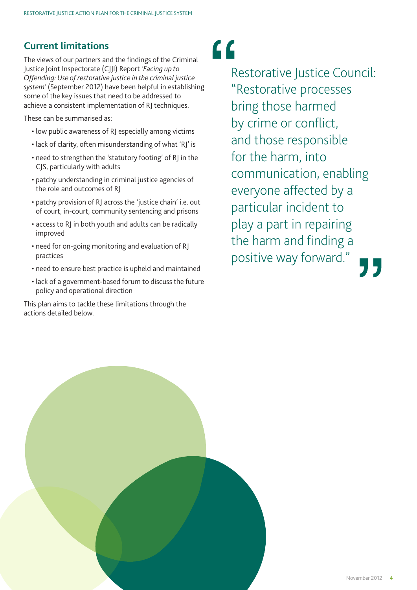### **Current limitations**

The views of our partners and the findings of the Criminal Justice Joint Inspectorate (CJJI) Report *'Facing up to Offending: Use of restorative justice in the criminal justice system'* (September 2012) have been helpful in establishing some of the key issues that need to be addressed to achieve a consistent implementation of RJ techniques.

These can be summarised as:

- low public awareness of RJ especially among victims
- lack of clarity, often misunderstanding of what 'RJ' is
- need to strengthen the 'statutory footing' of RJ in the CJS, particularly with adults
- patchy understanding in criminal justice agencies of the role and outcomes of RJ
- patchy provision of RJ across the 'justice chain' i.e. out of court, in-court, community sentencing and prisons
- access to RJ in both youth and adults can be radically improved
- need for on-going monitoring and evaluation of RJ practices
- need to ensure best practice is upheld and maintained
- lack of a government-based forum to discuss the future policy and operational direction

This plan aims to tackle these limitations through the actions detailed below.

# $\epsilon$

Restorative Justice Council: "Restorative processes bring those harmed by crime or conflict, and those responsible for the harm, into communication, enabling everyone affected by a particular incident to play a part in repairing the harm and finding a positive way forward."

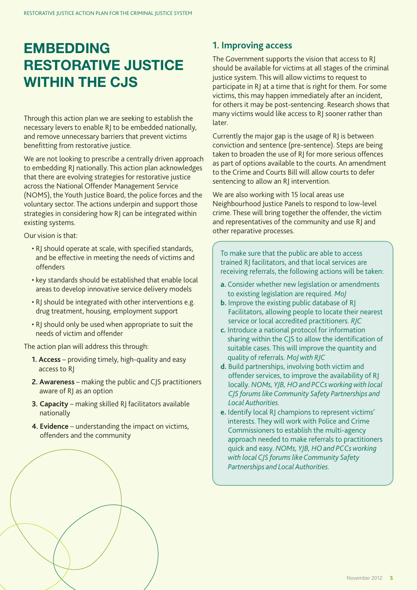# **EMBEDDING RESTORATIVE JUSTICE WITHIN THE CJS**

Through this action plan we are seeking to establish the necessary levers to enable RJ to be embedded nationally, and remove unnecessary barriers that prevent victims benefitting from restorative justice.

We are not looking to prescribe a centrally driven approach to embedding RJ nationally. This action plan acknowledges that there are evolving strategies for restorative justice across the National Offender Management Service (NOMS), the Youth Justice Board, the police forces and the voluntary sector. The actions underpin and support those strategies in considering how RJ can be integrated within existing systems.

Our vision is that:

- RJ should operate at scale, with specified standards, and be effective in meeting the needs of victims and offenders
- key standards should be established that enable local areas to develop innovative service delivery models
- RJ should be integrated with other interventions e.g. drug treatment, housing, employment support
- RJ should only be used when appropriate to suit the needs of victim and offender

The action plan will address this through:

- **1. Access** providing timely, high-quality and easy access to RJ
- **2. Awareness** making the public and CJS practitioners aware of RJ as an option
- **3. Capacity** making skilled RJ facilitators available nationally
- **4. Evidence** understanding the impact on victims, offenders and the community

### **1. Improving access**

The Government supports the vision that access to RJ should be available for victims at all stages of the criminal justice system. This will allow victims to request to participate in RJ at a time that is right for them. For some victims, this may happen immediately after an incident, for others it may be post-sentencing. Research shows that many victims would like access to RJ sooner rather than later.

Currently the major gap is the usage of RJ is between conviction and sentence (pre-sentence). Steps are being taken to broaden the use of RJ for more serious offences as part of options available to the courts. An amendment to the Crime and Courts Bill will allow courts to defer sentencing to allow an RI intervention.

We are also working with 15 local areas use Neighbourhood Justice Panels to respond to low-level crime. These will bring together the offender, the victim and representatives of the community and use RJ and other reparative processes.

To make sure that the public are able to access trained RJ facilitators, and that local services are receiving referrals, the following actions will be taken:

- **a.** Consider whether new legislation or amendments to existing legislation are required. *MoJ*
- **b.** Improve the existing public database of RI Facilitators, allowing people to locate their nearest service or local accredited practitioners. *RJC*
- **c.** Introduce a national protocol for information sharing within the CJS to allow the identification of suitable cases. This will improve the quantity and quality of referrals. *MoJ with RJC*
- **d.** Build partnerships, involving both victim and offender services, to improve the availability of RJ locally. *NOMs, YJB, HO and PCCs working with local CJS forums like Community Safety Partnerships and Local Authorities.*
- **e.** Identify local RJ champions to represent victims' interests. They will work with Police and Crime Commissioners to establish the multi-agency approach needed to make referrals to practitioners quick and easy. *NOMs, YJB, HO and PCCs working with local CJS forums like Community Safety Partnerships and Local Authorities.*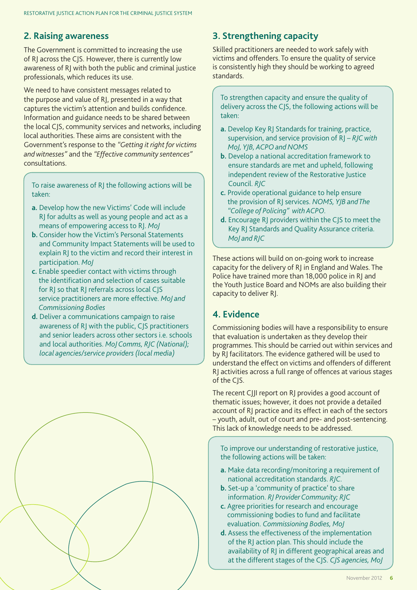#### **2. Raising awareness**

The Government is committed to increasing the use of RJ across the CJS. However, there is currently low awareness of RJ with both the public and criminal justice professionals, which reduces its use.

We need to have consistent messages related to the purpose and value of RJ, presented in a way that captures the victim's attention and builds confidence. Information and guidance needs to be shared between the local CJS, community services and networks, including local authorities. These aims are consistent with the Government's response to the *"Getting it right for victims and witnesses"* and the *"Effective community sentences"* consultations.

To raise awareness of RJ the following actions will be taken:

- **a.** Develop how the new Victims' Code will include RJ for adults as well as young people and act as a means of empowering access to RJ. *MoJ*
- **b.** Consider how the Victim's Personal Statements and Community Impact Statements will be used to explain RJ to the victim and record their interest in participation. *MoJ*
- **c.** Enable speedier contact with victims through the identification and selection of cases suitable for RJ so that RJ referrals across local CJS service practitioners are more effective. *MoJ and Commissioning Bodies*
- **d.** Deliver a communications campaign to raise awareness of RJ with the public, CJS practitioners and senior leaders across other sectors i.e. schools and local authorities. *MoJ Comms, RJC (National); local agencies/service providers (local media)*



### **3. Strengthening capacity**

Skilled practitioners are needed to work safely with victims and offenders. To ensure the quality of service is consistently high they should be working to agreed standards.

To strengthen capacity and ensure the quality of delivery across the CJS, the following actions will be taken:

- **a.** Develop Key RJ Standards for training, practice, supervision, and service provision of RJ – *RJC with MoJ, YJB, ACPO and NOMS*
- **b.** Develop a national accreditation framework to ensure standards are met and upheld, following independent review of the Restorative Justice Council. *RJC*
- **c.** Provide operational guidance to help ensure the provision of RJ services. *NOMS, YJB and The "College of Policing" with ACPO.*
- **d.** Encourage RJ providers within the CJS to meet the Key RJ Standards and Quality Assurance criteria. *MoJ and RJC*

These actions will build on on-going work to increase capacity for the delivery of RJ in England and Wales. The Police have trained more than 18,000 police in RJ and the Youth Justice Board and NOMs are also building their capacity to deliver RJ.

#### **4. Evidence**

Commissioning bodies will have a responsibility to ensure that evaluation is undertaken as they develop their programmes. This should be carried out within services and by RJ facilitators. The evidence gathered will be used to understand the effect on victims and offenders of different RJ activities across a full range of offences at various stages of the CJS.

The recent CJJI report on RJ provides a good account of thematic issues; however, it does not provide a detailed account of RJ practice and its effect in each of the sectors – youth, adult, out of court and pre- and post-sentencing. This lack of knowledge needs to be addressed.

To improve our understanding of restorative justice, the following actions will be taken:

- **a.** Make data recording/monitoring a requirement of national accreditation standards. *RJC.*
- **b.** Set-up a 'community of practice' to share information. *RJ Provider Community; RJC*
- **c.** Agree priorities for research and encourage commissioning bodies to fund and facilitate evaluation. *Commissioning Bodies, MoJ*
- **d.** Assess the effectiveness of the implementation of the RJ action plan. This should include the availability of RJ in different geographical areas and at the different stages of the CJS. *CJS agencies, MoJ*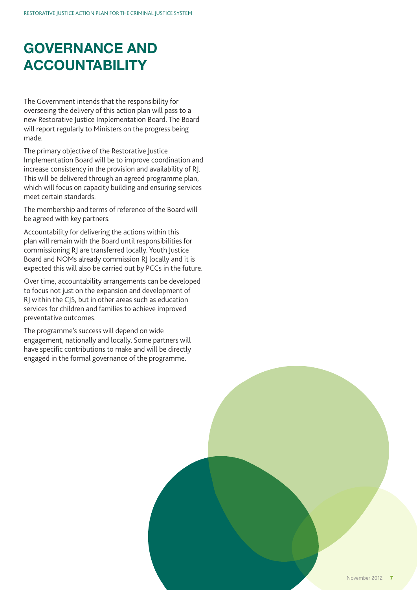# **GOVERNANCE AND ACCOUNTABILITY**

The Government intends that the responsibility for overseeing the delivery of this action plan will pass to a new Restorative Justice Implementation Board. The Board will report regularly to Ministers on the progress being made.

The primary objective of the Restorative Justice Implementation Board will be to improve coordination and increase consistency in the provision and availability of RJ. This will be delivered through an agreed programme plan, which will focus on capacity building and ensuring services meet certain standards.

The membership and terms of reference of the Board will be agreed with key partners.

Accountability for delivering the actions within this plan will remain with the Board until responsibilities for commissioning RJ are transferred locally. Youth Justice Board and NOMs already commission RJ locally and it is expected this will also be carried out by PCCs in the future.

Over time, accountability arrangements can be developed to focus not just on the expansion and development of RJ within the CJS, but in other areas such as education services for children and families to achieve improved preventative outcomes.

The programme's success will depend on wide engagement, nationally and locally. Some partners will have specific contributions to make and will be directly engaged in the formal governance of the programme.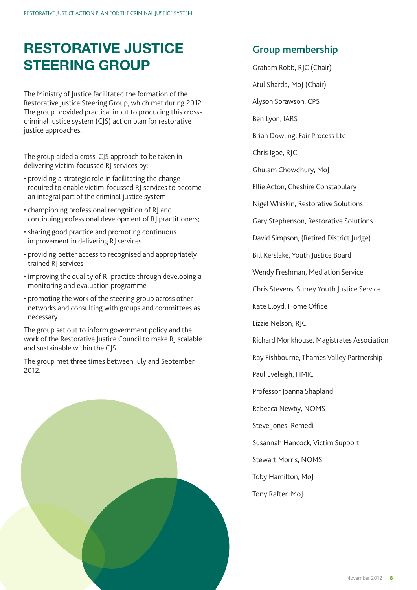# **RESTORATIVE JUSTICE STEERING GROUP**

The Ministry of Justice facilitated the formation of the Restorative Justice Steering Group, which met during 2012. The group provided practical input to producing this crosscriminal justice system (CJS) action plan for restorative justice approaches.

The group aided a cross-CJS approach to be taken in delivering victim-focussed RJ services by:

- providing a strategic role in facilitating the change required to enable victim-focussed RJ services to become an integral part of the criminal justice system
- championing professional recognition of RJ and continuing professional development of RJ practitioners;
- sharing good practice and promoting continuous improvement in delivering RJ services
- providing better access to recognised and appropriately trained RJ services
- improving the quality of RJ practice through developing a monitoring and evaluation programme
- promoting the work of the steering group across other networks and consulting with groups and committees as necessary

The group set out to inform government policy and the work of the Restorative Justice Council to make RJ scalable and sustainable within the CJS.

The group met three times between July and September 2012.

### **Group membership**

- Graham Robb, RJC (Chair)
- Atul Sharda, MoJ (Chair)
- Alyson Sprawson, CPS
- Ben Lyon, IARS
- Brian Dowling, Fair Process Ltd
- Chris Igoe, RJC
- Ghulam Chowdhury, MoJ
- Ellie Acton, Cheshire Constabulary
- Nigel Whiskin, Restorative Solutions
- Gary Stephenson, Restorative Solutions
- David Simpson, (Retired District Judge)
- Bill Kerslake, Youth Justice Board
- Wendy Freshman, Mediation Service
- Chris Stevens, Surrey Youth Justice Service
- Kate Lloyd, Home Office
- Lizzie Nelson, RJC
- Richard Monkhouse, Magistrates Association
- Ray Fishbourne, Thames Valley Partnership
- Paul Eveleigh, HMIC
- Professor Joanna Shapland
- Rebecca Newby, NOMS
- Steve Jones, Remedi
- Susannah Hancock, Victim Support
- Stewart Morris, NOMS
- Toby Hamilton, MoJ
- Tony Rafter, MoJ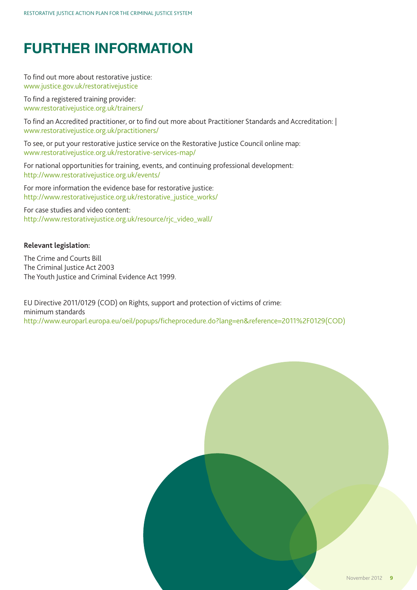# **FURTHER INFORMATION**

To find out more about restorative justice: www.justice.gov.uk/restorativejustice

To find a registered training provider: www.restorativejustice.org.uk/trainers/

To find an Accredited practitioner, or to find out more about Practitioner Standards and Accreditation: | www.restorativejustice.org.uk/practitioners/

To see, or put your restorative justice service on the Restorative Justice Council online map: www.restorativejustice.org.uk/restorative-services-map/

For national opportunities for training, events, and continuing professional development: http://www.restorativejustice.org.uk/events/

For more information the evidence base for restorative justice: http://www.restorativejustice.org.uk/restorative\_justice\_works/

For case studies and video content: http://www.restorativejustice.org.uk/resource/rjc\_video\_wall/

#### **Relevant legislation:**

The Crime and Courts Bill The Criminal Iustice Act 2003 The Youth Justice and Criminal Evidence Act 1999.

EU Directive 2011/0129 (COD) on Rights, support and protection of victims of crime: minimum standards http://www.europarl.europa.eu/oeil/popups/ficheprocedure.do?lang=en&reference=2011%2F0129(COD)